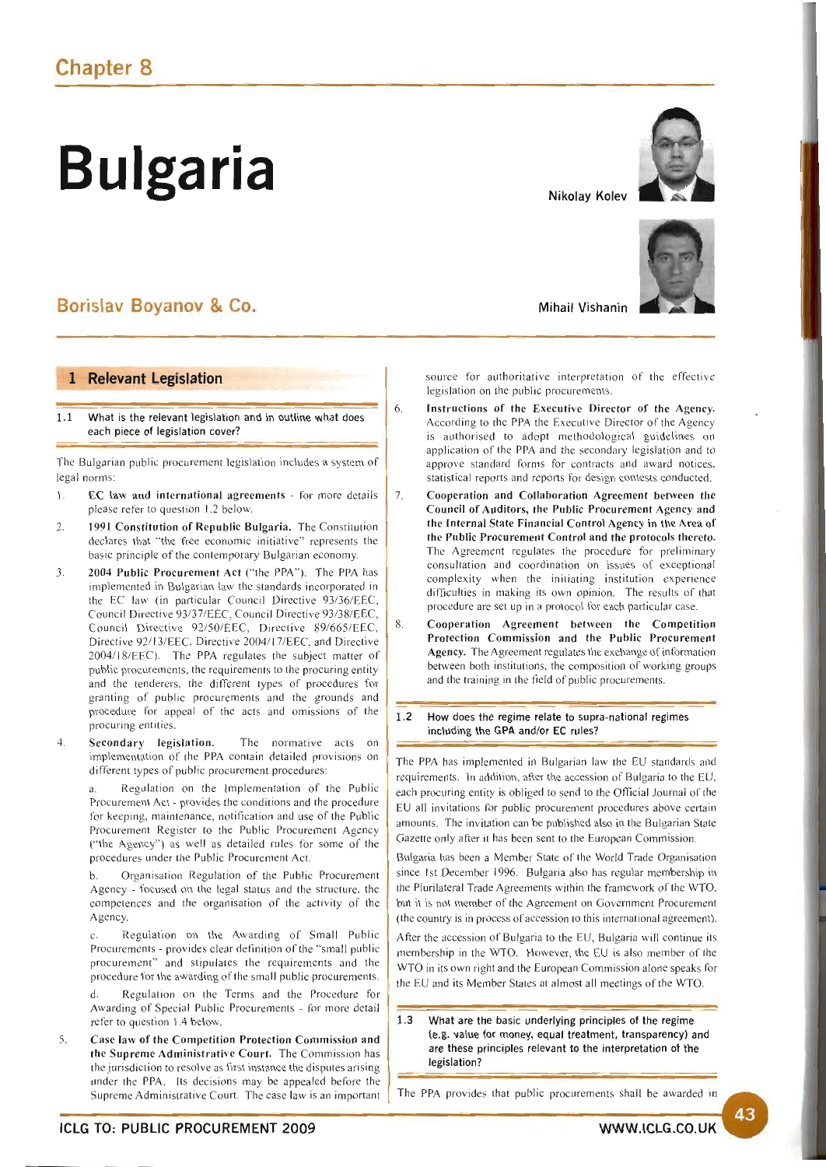# **Bulgaria Nikolay Kolev**

# Borislav Boyanov & Co.

# 1 Relevant Legislation

1.1 What is the relevant legislation and in outline what does each piece of legislation cover?

The Bulgarian public procurement legislation includes a system of legal norms:

- 1. EC law and international agreements for more details please refer to question 1.2 below.
- 2. 1991 Constitution of Republic Bulgaria. The Constitution declares that "the free economic initiative" represents the basic principle of the contemporary Bulgarian economy.
- 3. 2004 Public Procurement Act ("the PPA"). The PPA has implemented in Bulgarian law the standards incorporated in the EC law (in particular Council Directive 93/36/EEC, Council Directive 93/37/EEC Council Directive 93/38/EEC, Council Directive 92/50/EEC, Directive 89/665/EEC, Directive 92/13/EEC, Directive 2004/17/EEC, and Directive 2004/18/EEC). The PPA regulates the subject matter of public procurements, the requirements to the procuring entity and the tenderers, the different types of procedures for granting of public procurements and the grounds and procedure for appeal of the acts and omissions of the procuring entities.
- 4. Secondary legislation. The normative acts on implementation of the PPA contain detailed provisions on different types of public procurement procedures:

a. Regulation on the Implementation of the Public Procurement Act - provides the conditions and the procedure for keeping, maintenance, notification and use of the Public Procurement Register to the Public Procurement Agency ("the Agency") as well as detailed rules for some of the procedures under the Public Procurement Act.

b. Organisation Regulation of the Public Procurement Agency - focused on the legal status and the structure, the competences and the organisation of the activity of the Agency.

c. Regulation on the Awarding of Small Public Procurements - provides clear definition of the "small public procurement" and stipulates the requirements and the procedure for the awarding of the small public procurements.

d. Regulation on the Terms and the Procedure for Awarding of Special Public Procurements - for more detail refer to question 1.4 below.

5. Case law of the Competition Protection Commission and the Supreme Administrative Court. The Commission has the jurisdiction to resolve as first instance the disputes arising under the PPA. Its decisions may be appealed before the Supreme Administrative Court. The case law is an important





Mihail Vishanin

source for authoritative interpretation of the effective legislation on the public procurements.

- 6. Instructions of the Executive Director of the Agency. According to the PPA the Executive Director of the Agency is authorised to adopt methodological guidelines on application of the PPA and the secondary legislation and to approve standard forms for contracts and award notices, statistical reports and reports for design contests conducted.
- 7. Cooperation and Collaboration Agreement between the Council of Auditors, the Public Procurement Agency and the Internal State Financial Control Agency in the Area of the Public Procurement Control and the protocols thereto. The Agreement regulates the procedure for preliminary consultation and coordination on issues of exceptional complexity when the initiating institution experience difIiculties in making its own opinion. The results of that procedure are set up in a protocol for each particular case.
- 8. Cooperation Agreement between the Competition Protection Commission and the Public Procurement Agency. The Agreement regulates the exchange of information between both institutions, the composition of working groups and the training in the field of public procurements.
- 1.2 How does the regime relate to supra-national regimes including the GPA and/or EC rules?

The PPA has implemented in Bulgarian law the EU standards and requirements. In addition, after the accession of Bulgaria to the EU, each procuring entity is obliged to send to the OfIicial Journal of the EU all invitations for public procurement procedures above certain amounts. The invitation can be published also in the Bulgarian State Gazette only after it has been sent to the European Commission.

Bulgaria has been a Member State of the World Trade Organisation since Ist December 1996. Bulgaria also has regular membership in the Plurilateral Trade Agreements within the framework of the WTO, but it is not member of the Agreement on Government Procurement (the country is in process of accession to this international agreement).

After the accession of Bulgaria to the EU, Bulgaria will continue its membership in the WTO. However, the EU is also member of the WTO in its own right and the European Commission alone speaks for the EU and its Member States at almost all meetings of the WTO.

1.3 What are the basic underlying principles of the regime (e.g. value for money, equal treatment, transparency) and are these principles relevant to the interpretation of the legislation?

The PPA provides that public procurements shall be awarded in

43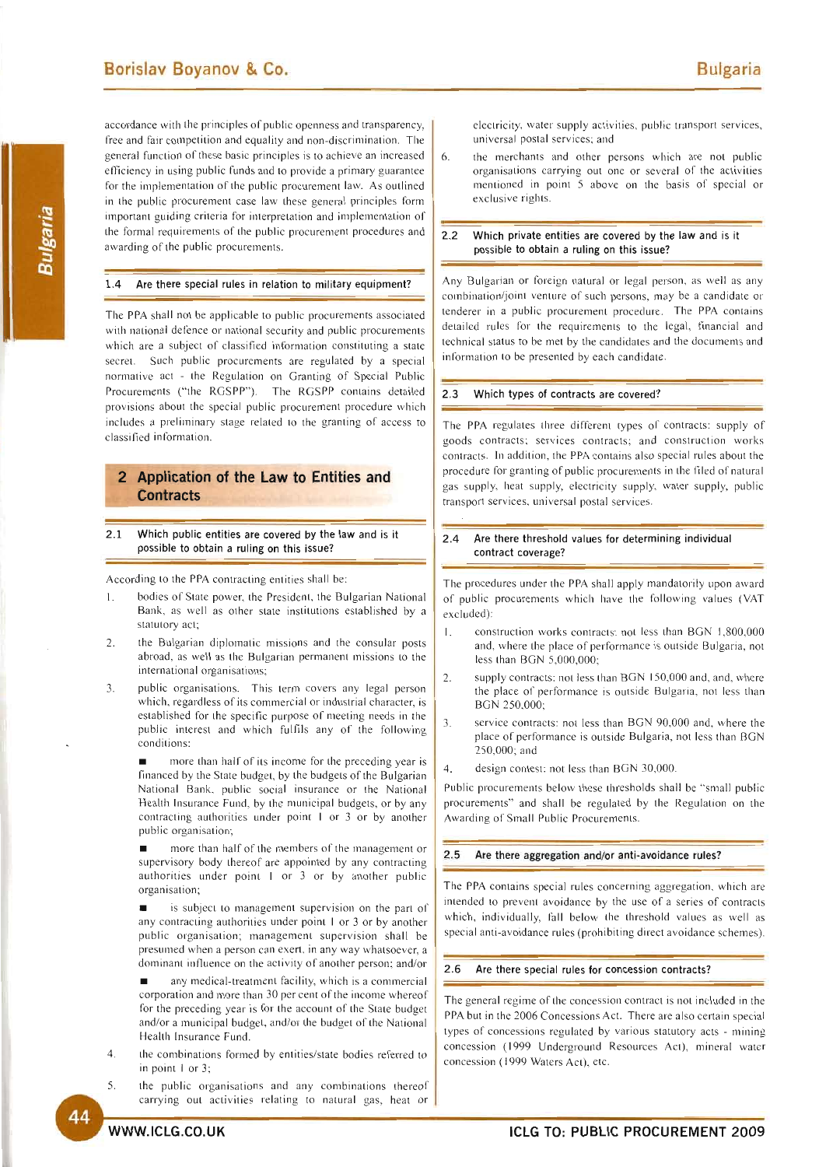accordance with the principles of public openness and transparency, free and fair competition and equality and non-discrimination. The general function of these basic principles is to achieve an increased efficiency in using public funds and to provide a primary guarantee for the implementation of the public procurement law. As outlined in the public procurement case law these general principles form important guiding criteria for interpretation and implementation of the formal requirements of the public procurement procedures and awarding of the public procurements.

### 1.4 Are there special rules in relation to military equipment?

The PPA shall not be applicable to public procurements associated with national defence or national security and public procurements which are a subject of classified information constituting a state secret. Such public procurements are regulated by a special normative act - the Regulation on Granting of Special Public Procurements ("the RGSPP"). The RGSPP contains detailed provisions about the special public procurement procedure which includes a preliminary stage related to the granting of access to classified information.

# **2 Application of the Law to Entities and Contracts**

2.1 Which public entities are covered by the law and is it possible to obtain a ruling on this issue?

According to the PPA contracting entities shall be:

- bodies of State power, the President, the Bulgarian National Bank, as well as other state institutions established by a statutory act;
- 2. the Bulgarian diplomatic missions and the consular posts abroad, as well as the Bulgarian permanent missions to the international organisations;
- 3. public organisations. This term covers any legal person which, regardless of its commercial or industrial character, is established for the specific purpose of meeting needs in the public interest and which fulfils any of the following conditions:

more than half of its income for the preceding year is financed by the State budget, by the budgets of the Bulgarian National Bank, public social insurance or the National Health Insurance Fund, by the municipal budgets, or by any contracting authorities under point  $1$  or  $3$  or by another public organisation;

• morc than half of the members of the management or supervisory body thereof are appointed by any contracting authorities under point  $1$  or  $3$  or by another public organisation;

is subject to management supervision on the part of any contracting authorities under point  $\vert$  or  $\vert$  or by another public organisation; management supervision shall be presumed when a person can exert, in any way whatsoever, a dominant influence on the activity of another person; and/or

any medical-treatment facility, which is a commercial corporation and more than 30 per cent of the income whereof for the preceding year is for the account of the State budget and/or a municipal budget, and/or the budget of the National Health Insurance Fund.

- 4. the combinations formed by entities/state bodies referred to in point  $1$  or  $3$ ;
- 5. the public organisations and any combinations thereof carrying out activities relating to natural gas, heat or

electricity, water supply activities, public transport services, universal postal services; and

6. the merchants and other persons which are not public organisations carrying out one or several of the activities mentioned in point 5 above on the basis of special or exclusive rights.

#### 2.2 Which private entities are covered by the law and is it possible to obtain a ruling on this issue?

Any Bulgarian or foreign natural or legal person, as well as any combination/joint venture of such persons, may be a candidate or tenderer in a public procurement procedure. The PPA contains detailed rules for the requirements to the legal, financial and technical status to be met by the candidates and the documents and information to be presented by each candidate.

### 2.3 Which types of contracts are covered?

The PPA regulates three different types of contracts: supply of goods contracts; services contracts; and construction works contracts. In addition, the PPA contains also special rules about the procedure for granting of public procurements in the filed of natural gas supply, heat supply, electricity supply, water supply, public transport services, universal postal services.

#### 2.4 Are there threshold values for determining individual contract coverage?

The procedures under the PPA shall apply mandatorily upon award of public procurements which have the following values (VAT excluded):

- 1. construction works contracts: not less than BGN 1,800,000 and, where the place of performance is outside Bulgaria, not less than BGN 5,000,000;
- 2. supply contracts: not less than BGN 150,000 and, and, where the place of performance is outside Bulgaria, not less than BGN 250.000;
- 3. service contracts: not less than BGN 90,000 and, where the place of performance is outside Bulgaria, not less than BGN 250,000; and
- 4. design contest: not less than BGN 30,000.

Public procurements below these thresholds shall be "small public procurements" and shall be regulated by the Regulation on the Awarding of Small Public Procurements.

#### 2.5 Are there aggregation and/or anti-avoidance rules?

The PPA contains special rules concerning aggregation, which are intended to prevent avoidance by the use of a series of contracts which, individually, fall below the threshold values as well as special anti-avoidance rules (prohibiting direct avoidance schemes).

### 2.6 Are there special rules for concession contracts?

The general regime of the concession contract is not included in the PPA but in the 2006 Concessions Act. There are also certain special types of concessions regulated by various statutory acts - mining concession (1999 Underground Resources Act), mineral water concession (1999 Waters Act), etc.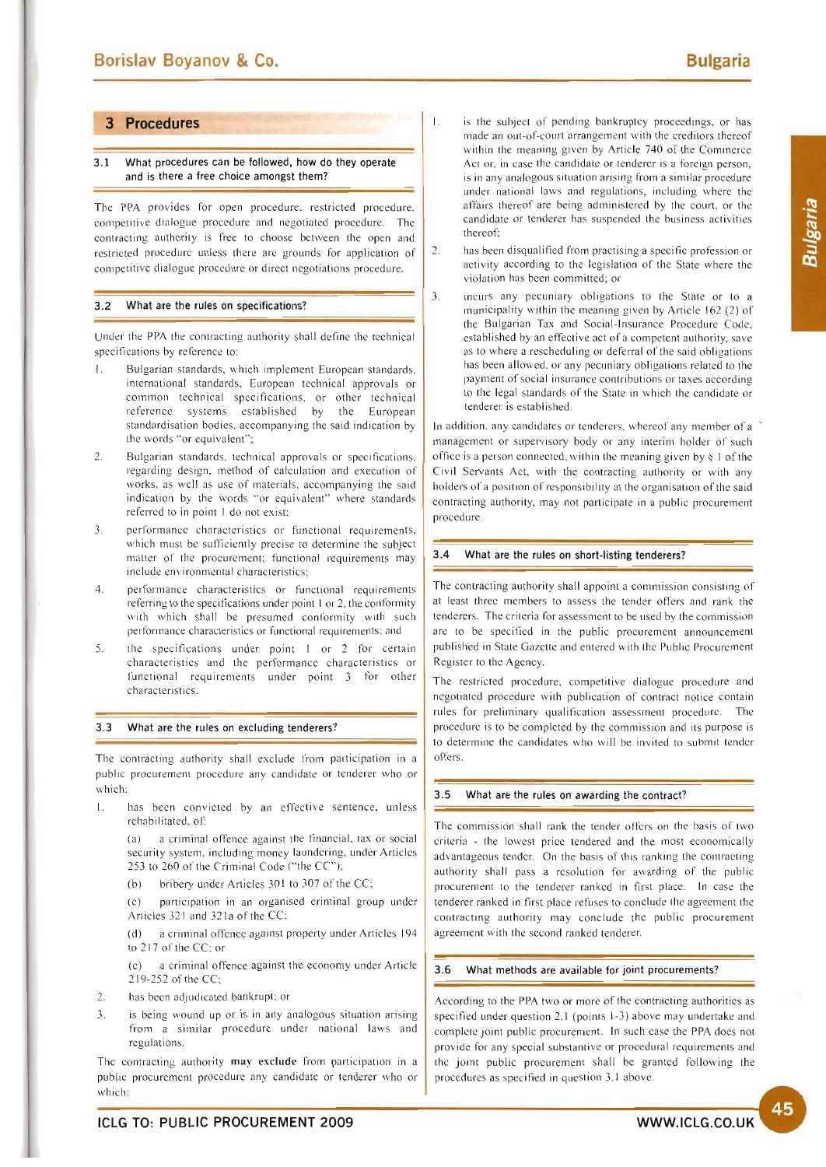Bulgaria

# **3 Procedures**

# 3.1 What procedures can be followed, how do they operate and is there a free choice amongst them?

The PPA provides for open procedure, restricted procedure. competitive dialogue procedure and negotiated procedure. The contracting authority is free to choose bctween the open and restricted procedurc unless there are grounds for application of competitivc dialogue procedure or direct negotiations procedure.

# 3.2 What are the rules on specifications?

Under the PPA the contracting authority shall define the technical specifications by reference to:

- 1. Bulgarian standards, which implement European standards, international standards, European technical approvals or common technical specifications, or other technical reference systems established by the European standardisation bodies, accompanying the said indication by the words "or equivalent";
- 2. Bulgarian standards, technical approvals or specifications, regarding design, method of calculation and execution of works, as well as use of materials, accompanying the said indication by the words "or equivalent" where standards referrcd to in point I do not exist;
- 3. performance characteristics or functional requirements, which must be sufficiently precise to determine the subject matter of the procurement; functional requirements may include environmental characteristics;
- 4. performance characteristics or functional requirements referring to the specifications under point 1 or 2, the conformity with which shall be presumed conformity with such performance characteristics or functional requirements; and
- 5. the specifications under point  $1$  or  $2$  for certain characteristics and the performance characteristics or functional requirements under point 3 for other cha racteristics.

#### 3.3 What are the rules on excluding tenderers?

The contracting authority shall exclude from participation in a public procurement procedure any candidate or tenderer who or which:

1. has been convicted by an effective sentence, unless rehabilitated, of:

(a) a criminal offence against the financial, tax or social security system, including money laundering, under Articles 253 to 260 of the Criminal Code ("the CC");

(b) bribery under Articles  $301$  to  $307$  of the CC;

(c) participation in an organised criminal group under Articles 321 and 321a of the CC;

a criminal offence against property under Articles 194 to 217 of the CC; or

(c) a criminal offence against the economy under Article 219-252 of the CC;

- 2. has been adjudicated bankrupt; or
- 3. is being wound up or is in any analogous situation arising from a similar procedure under national laws and regulations.

The contracting authority may exclude from participation in a public procurement procedure any candidate or tenderer who or which:

- I. is the subject of pending bankruptcy proceedings, or has made an out-of-court arrangement with the creditors thereof within the meaning given by Article 740 of the Commerce Act or, in case the candidate or tenderer is a foreign person, is in any analogous situation arising from a similar procedure under national laws and regulations, including where the atfairs thereof are being administered by the court, or the candidate or tenderer has suspended the business activities thereof;
- 2. has been disqualified from practising a specific profession or activity according to the legislation of the State where the violation has been committed; or
- 3. incurs any pecuniary obligations to the State or to a municipality within the meaning given by Article 162 (2) of the Bulgarian Tax and Social-Insurance Procedure Code, established by an effective act of a competent authority, save as to where a rescheduling or deferral of the said obligations has been allowed. or any pecuniary obligations related to the payment of social insurance contributions or taxes according to the legal standards of the State in which the candidate or tenderer is established.

In addition, any candidates or tenderers, whereof any member of a management or supervisory body or any interim holder of such office is a person connected, within the meaning given by  $\S$  1 of the Civil Servants Act, with the contracting authority or with any holders of a position of responsibility at the organisation of the said contracting authority, may not participate in a public procurement procedure.

#### 3.4 What are the rules on short·listing tenderers?

The contracting authority shall appoint a commission consisting of at least three members to assess the tender offers and rank the tenderers. The criteria for assessment to be used by the commission are to be specified in the public procurement announcement published in State Gazette and entered \vith the Public Procurcment Register to the Agency.

The restricted procedure, competitive dialogue procedure and ncgotiatcd procedure with publication of contract notice contain rules for preliminary qualification assessment procedure. The procedure is to be completed by the commission and its purpose is to determine the candidates who will be invited to submit tender offers.

# 3.5 What are the rules on awarding the contract?

The commission shall rank the tender offers on the basis of two criteria - the lowest price tendered and the most economically advantageous tender. On the basis of this ranking the contracting authority shall pass a resolution for awarding of the public procurement to the tenderer ranked in first place. In case the tenderer ranked in first place refuses to conclude the agreement the contracting authority may conclude the public procurement agreement with the second ranked tenderer.

# 3.6 What methods are available **for** joint procurements?

According to the PPA two or more of the contracting authorities as specified under question 2.1 (points  $1-3$ ) above may undertake and complete joint public procurement. In such case the PPA does not provide for any special substantive or procedural requirements and the joint public procurement shall be granted following the procedures as specified in question 3.1 above.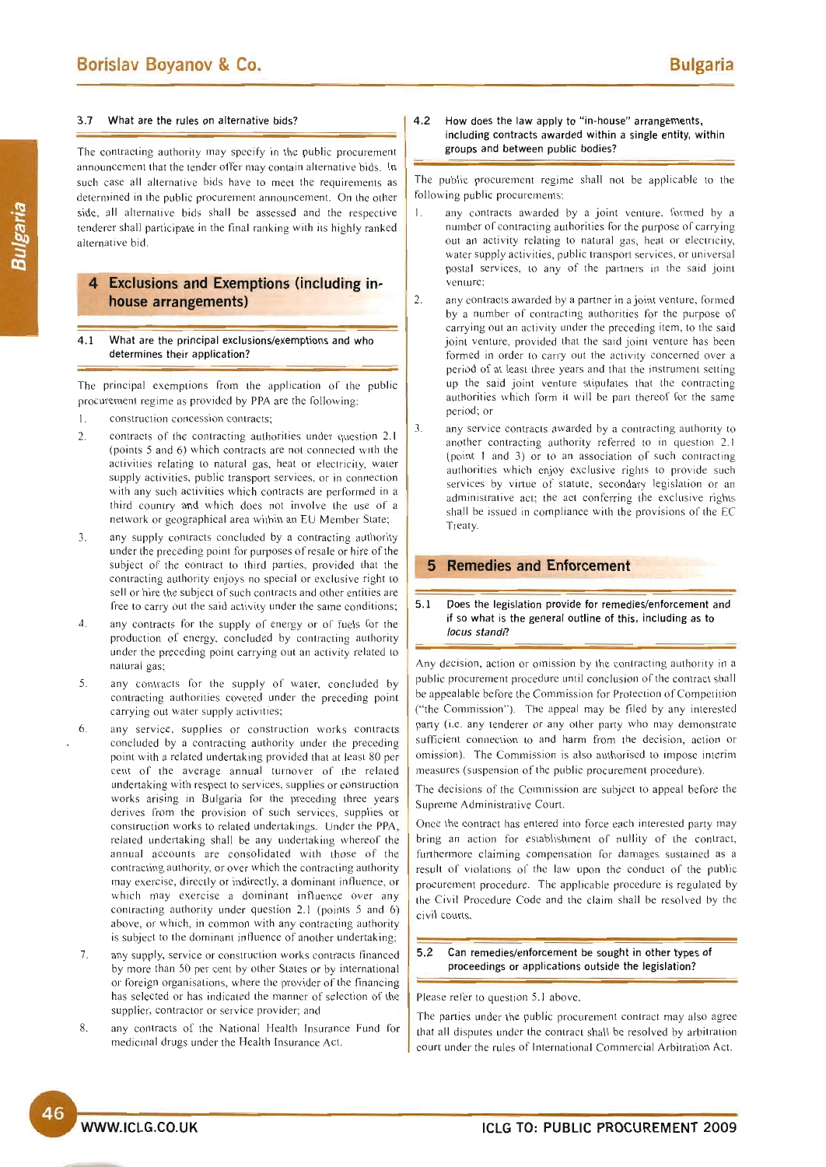#### 3.7 What are the rules on alternative bids?

The contracting authority may specify in the public procurement announcement that the tender offer may contain alternative bids. In such case all alternative bids have to meet the requirements as determined in the public procurement announcement. On the other side, all alternative bids shall be assessed and the respective tenderer shall participate in the final ranking with its highly ranked alternative bid.

# **4 Exclusions and Exemptions (including inhouse arrangements)**

4.1 What are the principal exclusions/exemptions and who determines their application?

The principal exemptions from the application of the public procurement regime as provided by PPA are the following:

- 1. construction concession contracts;
- 2. contracts of the contracting authorities under question 2.1 (points 5 and 6) which contracts are not connected with the activities relating to natural gas, heat or electricity, water supply activities, public transport services, or in connection with any such activities which contracts are performed in a third country and which does not in volve the use of a network or geographical area within an EU Member State;
- 3. any supply contracts concluded by a contracting authority under the preceding point for purposes of resale or hire of the subject of the contract to third parties, provided that the contracting authority enjoys no special or exclusive right to sell or hire the subject of such contracts and other entities are free to carry out the said activity under the same conditions;
- 4. any contracts for the supply of energy or of fuels for the production of energy, concluded by contracting authority under the preceding point carrying out an activity related to natural gas;
- 5. any contracts for the supply of water, concluded by contraeting authorities covered under the preceding point carrying out water supply activities;
- 6. any service, supplies or construction works contracts concluded by a contracting authority under the preceding point with a related undertaking provided that at least 80 per cent of the average annual turnover of the related undertaking with respect to services, supplies or construction works arising in Bulgaria for the preceding three years derives from the provision of such services, supplies or construction works to related undertakings. Under the PPA, related undertaking shall be any undertaking whereof the annual accounts are consolidated with those of the contracting authority, or over which the contracting authority may exercise, directly or indirectly, a dominant influence, or which may exercise a dominant influence over any contracting authority under question 2.1 (points 5 and 6) above, or which, in common with any contracting authority is subject to the dominant influence of another undertaking;
- 7. any supply, service or construction works contracts financed by more than 50 per cent by other States or by international or foreign organisations, where the provider of the financing has selected or has indicated the manner of selection of the supplier, contractor or service provider; and
- 8. any contracts of the National Health Insurance Fund for medicinal drugs under the Health Insurance Act.

# 4.2 How does the law apply to "in-house" arrangements, including contracts awarded within a single entity, within groups and between public bodies?

The public procurement regime shall not be applicable to the following public procurements:

- any contracts awarded by a joint venture, formed by a number of contracting authorities for the purpose of carrying out an activity relating to natural gas, heat or electricity, water supply activities, public transport services, or universal postal services, to any of the partners in the said joint venture;
- 2. any contracts awarded by a partner in a joint venture, formed by a number of contracting authorities for the purpose of carrying out an activity under the preceding item, to the said joint venture, provided that the said joint venture has been formed in order to carry out the activity concerned over a period of at least three years and that the instrument setting up the said joint venture stipulates that the contracting authorities which form it will be part thereof for the same period; or
- 3. any service contracts awarded by a contracting authority to another contracting authority referred to in question 2.1 (point I and 3) or to an association of such contracting authorities which enjoy exclusive rights to provide such services by vinue of statute. secondary legislation or an administrative act; the act conferring the exclusive rights shall be issued in compliance with the provisions of the EC Treaty

# **5 Remedies and Enforcement**

5.1 Does the legislation provide for remedies/enforcement and if so what is the general outline of this, including as to locus standi?

Any decision, action or omission by the contracting authority in a public procurement procedure until conclusion of the contract shall be appealable before the Commission for Protection of Competition ("the Commission"). The appeal may be filed by any interested party (i.e. any tenderer or any other party who may demonstrate sufficient connection to and harm from the decision, action or omission). The Commission is also authorised to impose interim measures (suspension of the public procurement procedure).

The decisions of the Commission are subject to appeal before the Supreme Administrative Court.

Once the contract has entered into force each interested party may bring an action for establishment of nullity of the contract, furthermore claiming compensation for damages sustained as a result of violations of the law upon the conduct of the public procurement procedure. The applicable procedure is regulated by the Civil Procedure Code and the claim shall be resolved by the civil courts.

# 5.2 Can remedies/enforcement be sought in other types of proceedings or applications outside the legislation?

Please refer to question 5.1 above.

The parties under the public procurement contract may also agree that all disputes under the contract shall be resolved by arbitration court under the rules of International Commercial Arbitration Act.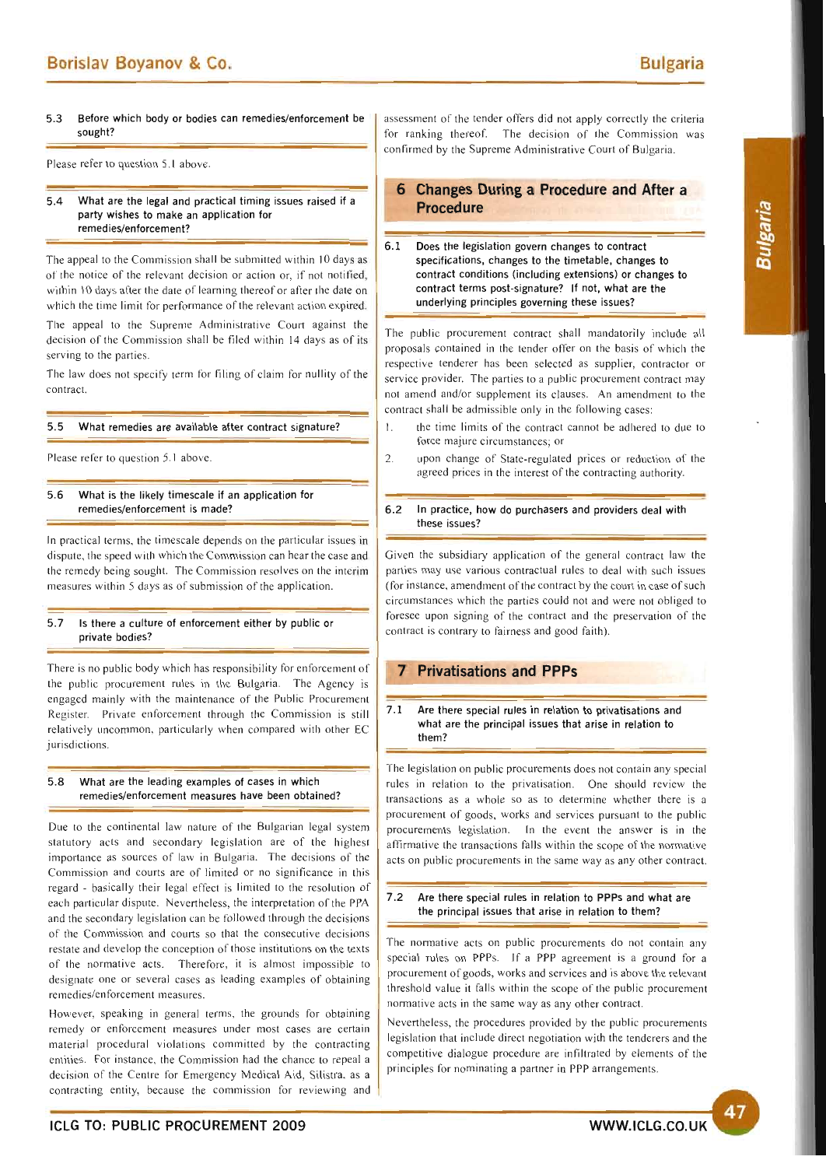5.3 Before which body or bodies can remedies/enforcement be sought?

Please refer to question 5.1 above.

#### 5.4 What are the legal and practical timing issues raised if a party wishes to make an application for remedies/enforcement?

The appeal to the Commission shall be submitted within 10 days as of the notice of the relevant decision or action or, if not notified, within 10 days after the date of learning thereof or after the date on which the time limit for performance of the relevant action expired.

The appeal to the Supreme Administrative Court against the decision of the Commission shall be filed within 14 days as of its serving to the parties.

The law does not specify term for filing of claim for nullity of the contract.

# 5.5 What remedies are available after contract signature?

Please refer to question 5.1 above.

# 5 .6 What is the likely timescale if an application for remedies/enforcement is made?

In practical terms, the timescale depends on the particular issues in dispute, the speed with which the Commission can hear the case and the remedy being sought. The Commission resolves on the interim measures within 5 days as of submission of the application.

# 5 .7 Is there a culture of enforcement either by public or private bodies?

There is no public body which has responsibility for enforcement of the public procurement rules in the Bulgaria. The Agency is engaged mainly with the maintenance of the Public Procurement Register. Private enforcement through the Commission is still relatively uncommon, particularly when compared with other EC iurisdictions.

# 5 .8 What are the leading examples of cases in which remedies/enforcement measures have been obtained?

Due to the continental law nature of the Bulgarian legal system statutory acts and secondary legislation are of the highest importance as sources of law in Bulgaria. The decisions of the Commission and courts are of limited or no significance in this regard - basically their legal effect is limited to the resolution of each particular dispute. Nevertheless, the interpretation of the PPA and the secondary legislation can be followed through the decisions of the Commission and courts so that the consecutive decisions restate and develop the conception of those institutions on the texts of the normative acts. Therefore, it is almost impossible to designate one or several cases as leading examples of obtaining remedies/enforcement measures.

However, speaking in general terms, the grounds for obtaining remedy or enforcement measures under most cases are certain material procedural violations committed by the contracting entities. For instance, the Commission had the chance to repeal a decision of the Centre for Emergency Medical Aid, Silistra. as a contracting entity, because the commission for reviewing and

assessment of the tender offers did not apply correctly the criteria for ranking thereof. The decision of the Commission was confirmed by the Supreme Administrative Court of Bulgaria.

# **6 Changes During a Procedure and After a Procedure**

# 6.1 Does the legislation govern changes to contract specifications, changes to the timetable, changes to contract conditions (including extensions) or changes to contract terms post-signature? If not, what are the underlying principles governing these issues?

The public procurement contract shall mandatorily include all proposals contained in the tender offer on the basis of which the respective tenderer has been selected as supplier, contractor or service provider. The parties to a public procurement contract may not amend and/or supplement its clauses. An amendment to the contract shall be admissible only in the following cases:

- 1. the time limits of the contract cannot be adhered to due to force majure circumstances; or
- 2. upon change of State-regulated prices or reduction of the agreed prices in the interest of the contracting authority.

# 6.2 In practice, how do purchasers and providers deal with these issues?

Given the subsidiary application of the general contract law the parties may use various contractual rules to deal with such issues (for instance, amendment of the contract by the court in case of such circumstances which the parties could not and were not obliged to foresee upon signing of the contract and the preservation of the contract is contrary to fairness and good faith).

# **Privatisations and PPPs**

# 7.1 Are there special rules in relation to privatisations and what are the principal issues that arise in relation to them?

The legislation on public procurements does not contain any special rules in relation to the privatisation. One should review the transactions as a whole so as to determine whether there is a procurement of goods, works and services pursuant to the public procurements legislation. In the event the answer is in the affirmative the transactions falls within the scope of the normative acts on public procurements in the same way as any other contract.

# 7.2 Are there special rules in relation to PPPs and what are the principal issues that arise in relation to them?

The normative acts on public procurements do not contain any special rules on PPPs. If a PPP agreement is a ground for a procurement of goods, works and services and is above the relevant threshold value it falls within the scope of the public procurement normative acts in the same way as any other contract.

Nevertlleless, the procedures provided by the public procurements legislation that include direct negotiation with the tenderers and the competitive dialogue procedure are infiltrated by elements of the principles for nominating a partner in PPP arrangements.